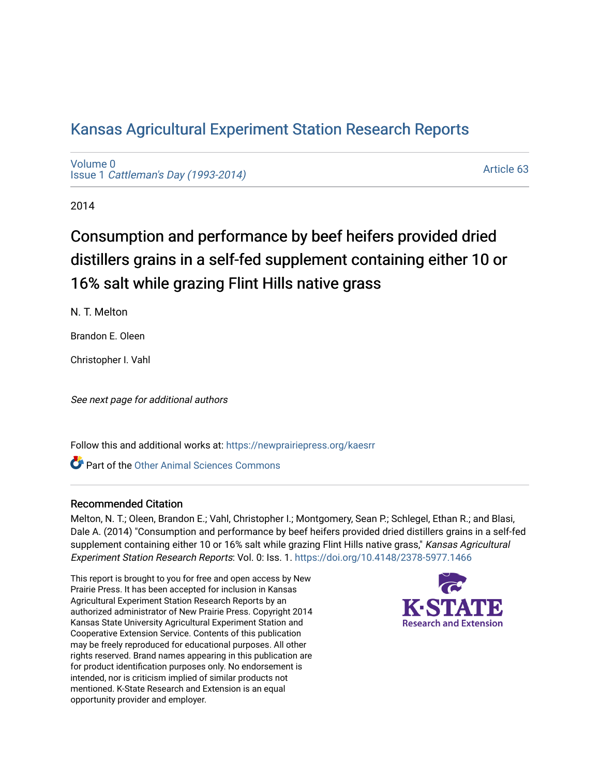# [Kansas Agricultural Experiment Station Research Reports](https://newprairiepress.org/kaesrr)

[Volume 0](https://newprairiepress.org/kaesrr/vol0) Issue 1 [Cattleman's Day \(1993-2014\)](https://newprairiepress.org/kaesrr/vol0/iss1) 

[Article 63](https://newprairiepress.org/kaesrr/vol0/iss1/63) 

2014

# Consumption and performance by beef heifers provided dried distillers grains in a self-fed supplement containing either 10 or 16% salt while grazing Flint Hills native grass

N. T. Melton

Brandon E. Oleen

Christopher I. Vahl

See next page for additional authors

Follow this and additional works at: [https://newprairiepress.org/kaesrr](https://newprairiepress.org/kaesrr?utm_source=newprairiepress.org%2Fkaesrr%2Fvol0%2Fiss1%2F63&utm_medium=PDF&utm_campaign=PDFCoverPages) 

Part of the [Other Animal Sciences Commons](http://network.bepress.com/hgg/discipline/82?utm_source=newprairiepress.org%2Fkaesrr%2Fvol0%2Fiss1%2F63&utm_medium=PDF&utm_campaign=PDFCoverPages)

### Recommended Citation

Melton, N. T.; Oleen, Brandon E.; Vahl, Christopher I.; Montgomery, Sean P.; Schlegel, Ethan R.; and Blasi, Dale A. (2014) "Consumption and performance by beef heifers provided dried distillers grains in a self-fed supplement containing either 10 or 16% salt while grazing Flint Hills native grass," Kansas Agricultural Experiment Station Research Reports: Vol. 0: Iss. 1. <https://doi.org/10.4148/2378-5977.1466>

This report is brought to you for free and open access by New Prairie Press. It has been accepted for inclusion in Kansas Agricultural Experiment Station Research Reports by an authorized administrator of New Prairie Press. Copyright 2014 Kansas State University Agricultural Experiment Station and Cooperative Extension Service. Contents of this publication may be freely reproduced for educational purposes. All other rights reserved. Brand names appearing in this publication are for product identification purposes only. No endorsement is intended, nor is criticism implied of similar products not mentioned. K-State Research and Extension is an equal opportunity provider and employer.

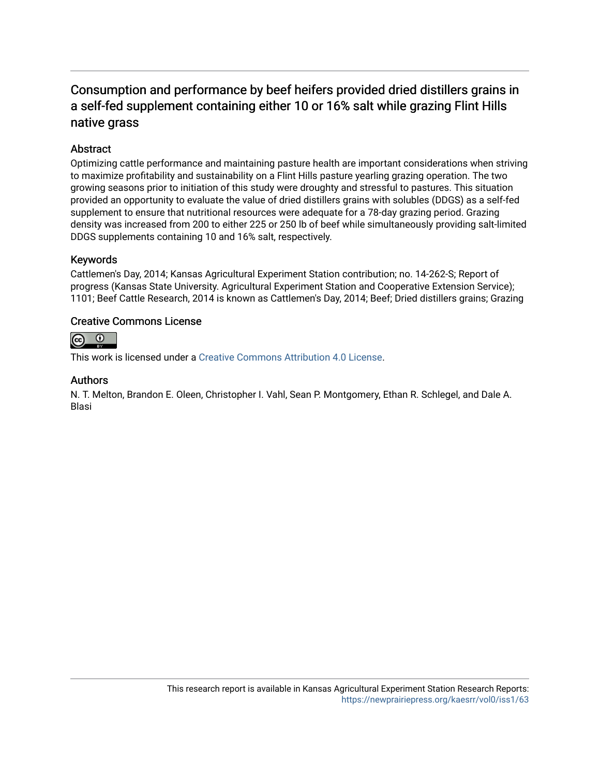## Consumption and performance by beef heifers provided dried distillers grains in a self-fed supplement containing either 10 or 16% salt while grazing Flint Hills native grass

## **Abstract**

Optimizing cattle performance and maintaining pasture health are important considerations when striving to maximize profitability and sustainability on a Flint Hills pasture yearling grazing operation. The two growing seasons prior to initiation of this study were droughty and stressful to pastures. This situation provided an opportunity to evaluate the value of dried distillers grains with solubles (DDGS) as a self-fed supplement to ensure that nutritional resources were adequate for a 78-day grazing period. Grazing density was increased from 200 to either 225 or 250 lb of beef while simultaneously providing salt-limited DDGS supplements containing 10 and 16% salt, respectively.

### Keywords

Cattlemen's Day, 2014; Kansas Agricultural Experiment Station contribution; no. 14-262-S; Report of progress (Kansas State University. Agricultural Experiment Station and Cooperative Extension Service); 1101; Beef Cattle Research, 2014 is known as Cattlemen's Day, 2014; Beef; Dried distillers grains; Grazing

### Creative Commons License



This work is licensed under a [Creative Commons Attribution 4.0 License](https://creativecommons.org/licenses/by/4.0/).

### Authors

N. T. Melton, Brandon E. Oleen, Christopher I. Vahl, Sean P. Montgomery, Ethan R. Schlegel, and Dale A. Blasi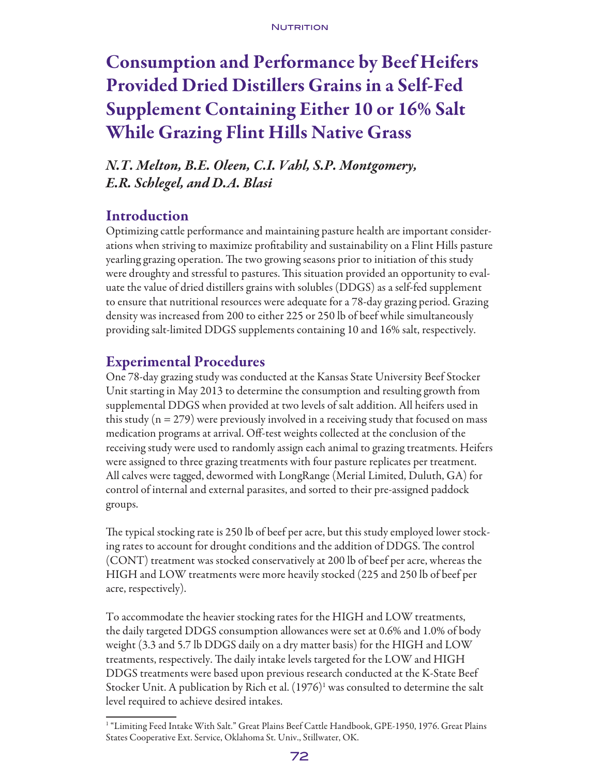# Consumption and Performance by Beef Heifers Provided Dried Distillers Grains in a Self-Fed Supplement Containing Either 10 or 16% Salt While Grazing Flint Hills Native Grass

*N.T. Melton, B.E. Oleen, C.I. Vahl, S.P. Montgomery, E.R. Schlegel, and D.A. Blasi*

## Introduction

Optimizing cattle performance and maintaining pasture health are important considerations when striving to maximize profitability and sustainability on a Flint Hills pasture yearling grazing operation. The two growing seasons prior to initiation of this study were droughty and stressful to pastures. This situation provided an opportunity to evaluate the value of dried distillers grains with solubles (DDGS) as a self-fed supplement to ensure that nutritional resources were adequate for a 78-day grazing period. Grazing density was increased from 200 to either 225 or 250 lb of beef while simultaneously providing salt-limited DDGS supplements containing 10 and 16% salt, respectively.

## Experimental Procedures

One 78-day grazing study was conducted at the Kansas State University Beef Stocker Unit starting in May 2013 to determine the consumption and resulting growth from supplemental DDGS when provided at two levels of salt addition. All heifers used in this study  $(n = 279)$  were previously involved in a receiving study that focused on mass medication programs at arrival. Off-test weights collected at the conclusion of the receiving study were used to randomly assign each animal to grazing treatments. Heifers were assigned to three grazing treatments with four pasture replicates per treatment. All calves were tagged, dewormed with LongRange (Merial Limited, Duluth, GA) for control of internal and external parasites, and sorted to their pre-assigned paddock groups.

The typical stocking rate is 250 lb of beef per acre, but this study employed lower stocking rates to account for drought conditions and the addition of DDGS. The control (CONT) treatment was stocked conservatively at 200 lb of beef per acre, whereas the HIGH and LOW treatments were more heavily stocked (225 and 250 lb of beef per acre, respectively).

To accommodate the heavier stocking rates for the HIGH and LOW treatments, the daily targeted DDGS consumption allowances were set at 0.6% and 1.0% of body weight (3.3 and 5.7 lb DDGS daily on a dry matter basis) for the HIGH and LOW treatments, respectively. The daily intake levels targeted for the LOW and HIGH DDGS treatments were based upon previous research conducted at the K-State Beef Stocker Unit. A publication by Rich et al.  $(1976)^1$  was consulted to determine the salt level required to achieve desired intakes.

<sup>1</sup> "Limiting Feed Intake With Salt." Great Plains Beef Cattle Handbook, GPE-1950, 1976. Great Plains States Cooperative Ext. Service, Oklahoma St. Univ., Stillwater, OK.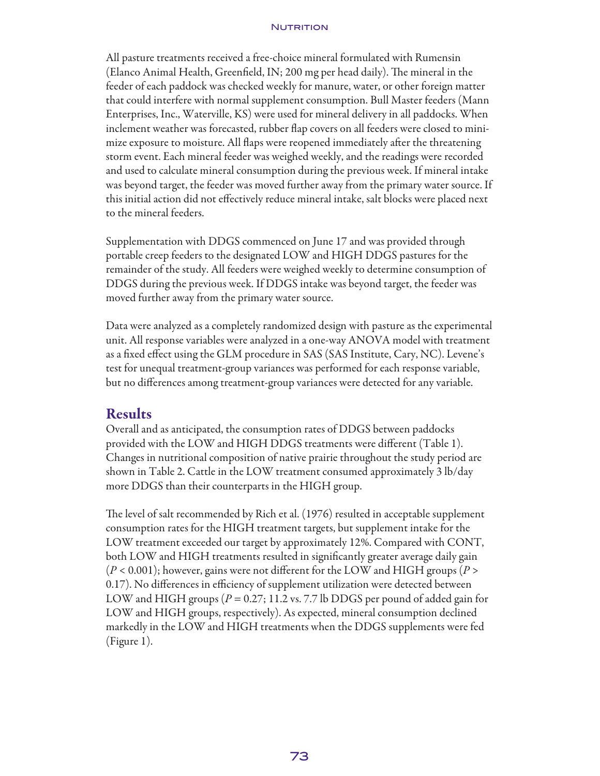#### NUTRITION

All pasture treatments received a free-choice mineral formulated with Rumensin (Elanco Animal Health, Greenfield, IN; 200 mg per head daily). The mineral in the feeder of each paddock was checked weekly for manure, water, or other foreign matter that could interfere with normal supplement consumption. Bull Master feeders (Mann Enterprises, Inc., Waterville, KS) were used for mineral delivery in all paddocks. When inclement weather was forecasted, rubber flap covers on all feeders were closed to minimize exposure to moisture. All flaps were reopened immediately after the threatening storm event. Each mineral feeder was weighed weekly, and the readings were recorded and used to calculate mineral consumption during the previous week. If mineral intake was beyond target, the feeder was moved further away from the primary water source. If this initial action did not effectively reduce mineral intake, salt blocks were placed next to the mineral feeders.

Supplementation with DDGS commenced on June 17 and was provided through portable creep feeders to the designated LOW and HIGH DDGS pastures for the remainder of the study. All feeders were weighed weekly to determine consumption of DDGS during the previous week. If DDGS intake was beyond target, the feeder was moved further away from the primary water source.

Data were analyzed as a completely randomized design with pasture as the experimental unit. All response variables were analyzed in a one-way ANOVA model with treatment as a fixed effect using the GLM procedure in SAS (SAS Institute, Cary, NC). Levene's test for unequal treatment-group variances was performed for each response variable, but no differences among treatment-group variances were detected for any variable.

### Results

Overall and as anticipated, the consumption rates of DDGS between paddocks provided with the LOW and HIGH DDGS treatments were different (Table 1). Changes in nutritional composition of native prairie throughout the study period are shown in Table 2. Cattle in the LOW treatment consumed approximately 3 lb/day more DDGS than their counterparts in the HIGH group.

The level of salt recommended by Rich et al. (1976) resulted in acceptable supplement consumption rates for the HIGH treatment targets, but supplement intake for the LOW treatment exceeded our target by approximately 12%. Compared with CONT, both LOW and HIGH treatments resulted in significantly greater average daily gain (*P* < 0.001); however, gains were not different for the LOW and HIGH groups (*P* > 0.17). No differences in efficiency of supplement utilization were detected between LOW and HIGH groups (*P* = 0.27; 11.2 vs. 7.7 lb DDGS per pound of added gain for LOW and HIGH groups, respectively). As expected, mineral consumption declined markedly in the LOW and HIGH treatments when the DDGS supplements were fed (Figure 1).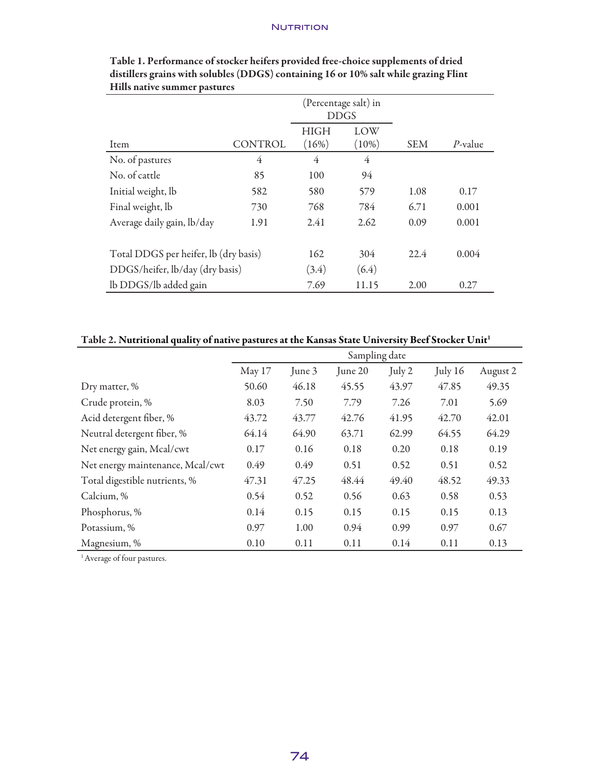### **NUTRITION**

|                                       |         | (Percentage salt) in<br><b>DDGS</b> |       |            |            |
|---------------------------------------|---------|-------------------------------------|-------|------------|------------|
|                                       |         | <b>HIGH</b>                         | LOW   |            |            |
| Item                                  | CONTROL | (16%)                               | (10%) | <b>SEM</b> | $P$ -value |
| No. of pastures                       | 4       | 4                                   | 4     |            |            |
| No. of cattle                         | 85      | 100                                 | 94    |            |            |
| Initial weight, lb                    | 582     | 580                                 | 579   | 1.08       | 0.17       |
| Final weight, lb                      | 730     | 768                                 | 784   | 6.71       | 0.001      |
| Average daily gain, lb/day            | 1.91    | 2.41                                | 2.62  | 0.09       | 0.001      |
| Total DDGS per heifer, lb (dry basis) |         | 162                                 | 304   | 22.4       | 0.004      |
| DDGS/heifer, lb/day (dry basis)       |         | (3.4)                               | (6.4) |            |            |
| lb DDGS/lb added gain                 |         | 7.69                                | 11.15 | 2.00       | 0.27       |

| Table 1. Performance of stocker heifers provided free-choice supplements of dried    |
|--------------------------------------------------------------------------------------|
| distillers grains with solubles (DDGS) containing 16 or 10% salt while grazing Flint |
| Hills native summer pastures                                                         |

## Table 2. Nutritional quality of native pastures at the Kansas State University Beef Stocker Unit<sup>1</sup>

|                                  | Sampling date |        |         |        |           |          |  |
|----------------------------------|---------------|--------|---------|--------|-----------|----------|--|
|                                  | May 17        | June 3 | June 20 | July 2 | July $16$ | August 2 |  |
| Dry matter, %                    | 50.60         | 46.18  | 45.55   | 43.97  | 47.85     | 49.35    |  |
| Crude protein, %                 | 8.03          | 7.50   | 7.79    | 7.26   | 7.01      | 5.69     |  |
| Acid detergent fiber, %          | 43.72         | 43.77  | 42.76   | 41.95  | 42.70     | 42.01    |  |
| Neutral detergent fiber, %       | 64.14         | 64.90  | 63.71   | 62.99  | 64.55     | 64.29    |  |
| Net energy gain, Mcal/cwt        | 0.17          | 0.16   | 0.18    | 0.20   | 0.18      | 0.19     |  |
| Net energy maintenance, Mcal/cwt | 0.49          | 0.49   | 0.51    | 0.52   | 0.51      | 0.52     |  |
| Total digestible nutrients, %    | 47.31         | 47.25  | 48.44   | 49.40  | 48.52     | 49.33    |  |
| Calcium, %                       | 0.54          | 0.52   | 0.56    | 0.63   | 0.58      | 0.53     |  |
| Phosphorus, %                    | 0.14          | 0.15   | 0.15    | 0.15   | 0.15      | 0.13     |  |
| Potassium, %                     | 0.97          | 1.00   | 0.94    | 0.99   | 0.97      | 0.67     |  |
| Magnesium, %                     | 0.10          | 0.11   | 0.11    | 0.14   | 0.11      | 0.13     |  |

<sup>1</sup> Average of four pastures.